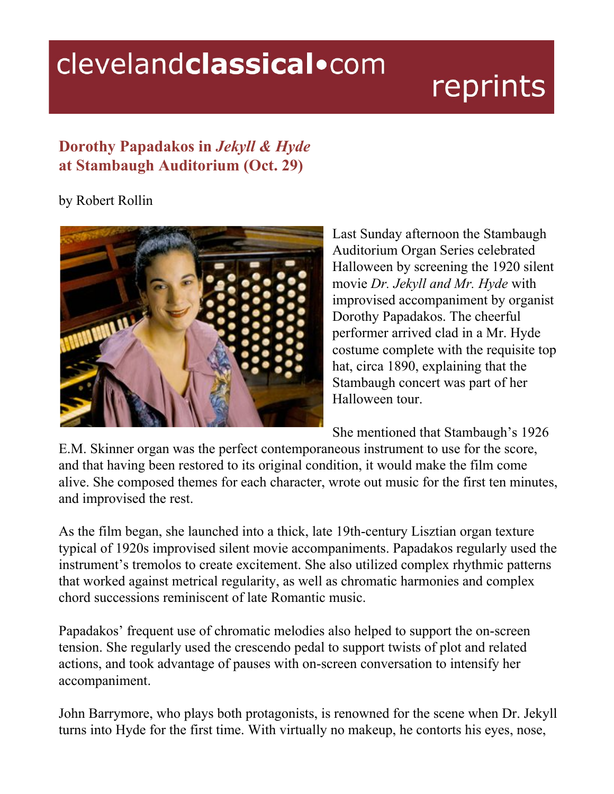## clevelandclassical.com

## reprints

## **Dorothy Papadakos in** *Jekyll & Hyde* **at Stambaugh Auditorium (Oct. 29)**

## by Robert Rollin



Last Sunday afternoon the Stambaugh Auditorium Organ Series celebrated Halloween by screening the 1920 silent movie *Dr. Jekyll and Mr. Hyde* with improvised accompaniment by organist Dorothy Papadakos. The cheerful performer arrived clad in a Mr. Hyde costume complete with the requisite top hat, circa 1890, explaining that the Stambaugh concert was part of her Halloween tour.

She mentioned that Stambaugh's 1926

E.M. Skinner organ was the perfect contemporaneous instrument to use for the score, and that having been restored to its original condition, it would make the film come alive. She composed themes for each character, wrote out music for the first ten minutes, and improvised the rest.

As the film began, she launched into a thick, late 19th-century Lisztian organ texture typical of 1920s improvised silent movie accompaniments. Papadakos regularly used the instrument's tremolos to create excitement. She also utilized complex rhythmic patterns that worked against metrical regularity, as well as chromatic harmonies and complex chord successions reminiscent of late Romantic music.

Papadakos' frequent use of chromatic melodies also helped to support the on-screen tension. She regularly used the crescendo pedal to support twists of plot and related actions, and took advantage of pauses with on-screen conversation to intensify her accompaniment.

John Barrymore, who plays both protagonists, is renowned for the scene when Dr. Jekyll turns into Hyde for the first time. With virtually no makeup, he contorts his eyes, nose,